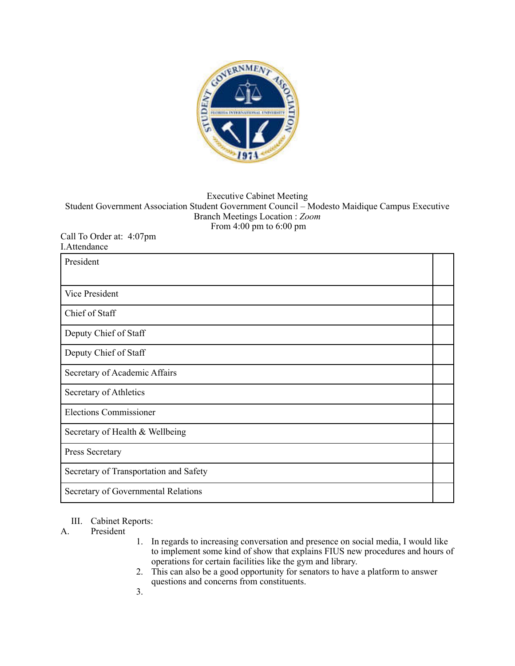

## Executive Cabinet Meeting Student Government Association Student Government Council – Modesto Maidique Campus Executive Branch Meetings Location : *Zoom*  From 4:00 pm to 6:00 pm

## Call To Order at: 4:07pm I.Attendance

| President                              |  |
|----------------------------------------|--|
| <b>Vice President</b>                  |  |
| Chief of Staff                         |  |
| Deputy Chief of Staff                  |  |
| Deputy Chief of Staff                  |  |
| Secretary of Academic Affairs          |  |
| Secretary of Athletics                 |  |
| <b>Elections Commissioner</b>          |  |
| Secretary of Health & Wellbeing        |  |
| Press Secretary                        |  |
| Secretary of Transportation and Safety |  |
| Secretary of Governmental Relations    |  |

## III. Cabinet Reports:

## A. President

- 1. In regards to increasing conversation and presence on social media, I would like to implement some kind of show that explains FIUS new procedures and hours of operations for certain facilities like the gym and library.
- 2. This can also be a good opportunity for senators to have a platform to answer questions and concerns from constituents.
- 3.